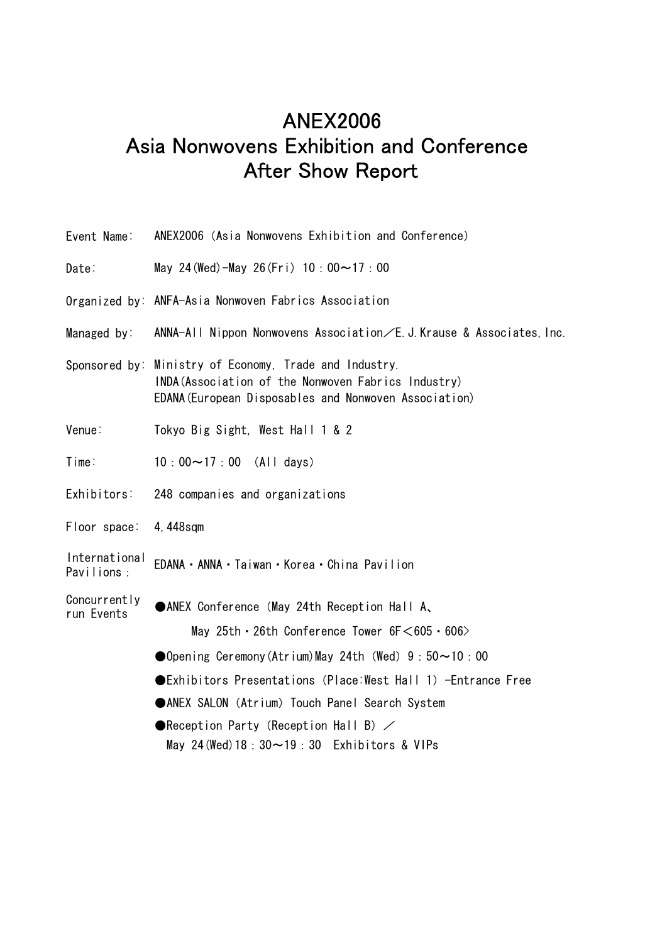# ANEX2006 Asia Nonwovens Exhibition and Conference After Show Report

| Event Name:                 | ANEX2006 (Asia Nonwovens Exhibition and Conference)                                                                                                                    |
|-----------------------------|------------------------------------------------------------------------------------------------------------------------------------------------------------------------|
| Date:                       | May 24 (Wed) - May 26 (Fri) $10:00 \sim 17:00$                                                                                                                         |
|                             | Organized by: ANFA-Asia Nonwoven Fabrics Association                                                                                                                   |
| Managed by:                 | ANNA-All Nippon Nonwovens Association/E. J. Krause & Associates, Inc.                                                                                                  |
|                             | Sponsored by: Ministry of Economy, Trade and Industry.<br>INDA (Association of the Nonwoven Fabrics Industry)<br>EDANA (European Disposables and Nonwoven Association) |
| Venue:                      | Tokyo Big Sight, West Hall 1 & 2                                                                                                                                       |
| Time:                       | $10:00 \sim 17:00$ (All days)                                                                                                                                          |
| Exhibitors:                 | 248 companies and organizations                                                                                                                                        |
| Floor space:                | 4,448sqm                                                                                                                                                               |
| International<br>Pavilions: | EDANA · ANNA · Taiwan · Korea · China Pavilion                                                                                                                         |
| Concurrently<br>run Events  | ●ANEX Conference (May 24th Reception Hall A、<br>May 25th $\cdot$ 26th Conference Tower 6F $<$ 605 $\cdot$ 606 $>$                                                      |
|                             | Opening Ceremony(Atrium)May 24th (Wed) $9:50 \sim 10:00$                                                                                                               |
|                             |                                                                                                                                                                        |
|                             | ● Exhibitors Presentations (Place: West Hall 1) - Entrance Free                                                                                                        |
|                             | ●ANEX SALON (Atrium) Touch Panel Search System                                                                                                                         |
|                             | <b>• Reception Party (Reception Hall B)</b> $\angle$<br>May 24 (Wed) $18:30 \sim 19:30$ Exhibitors & VIPs                                                              |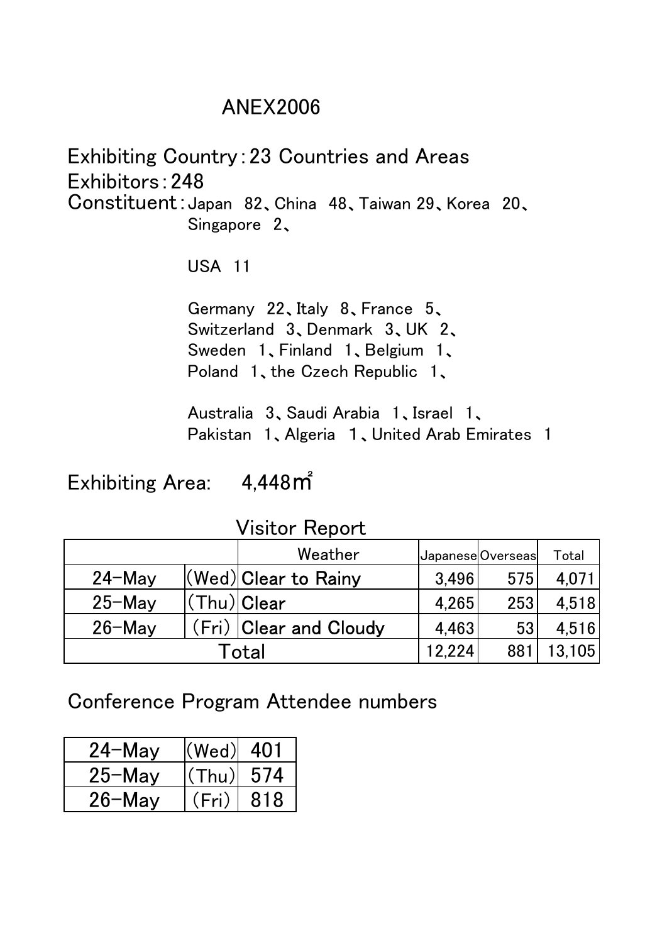### ANEX2006

Exhibiting Country:23 Countries and Areas Exhibitors:248 Constituent:Japan 82、China 48、Taiwan 29、Korea 20、 Singapore 2、

USA 11

Germany 22、Italy 8、France 5、 Switzerland 3、Denmark 3、UK 2、 Sweden 1、Finland 1、Belgium 1、 Poland 1、the Czech Republic 1、

Australia 3、Saudi Arabia 1、Israel 1、 Pakistan 1、Algeria 1、United Arab Emirates 1

Exhibiting Area: 4,448㎡

Visitor Report

|            |                | Weather                | JapaneseOverseas |     | Total  |
|------------|----------------|------------------------|------------------|-----|--------|
| $24 - May$ |                | (Wed) Clear to Rainy   | 3,496            | 575 | 4,071  |
| $25-May$   | $(Thu) $ Clear |                        | 4,265            | 253 | 4,518  |
| $26 - May$ |                | (Fri) Clear and Cloudy | 4,463            | 53  | 4.516  |
| Total      |                |                        | 12,224           | 881 | 13,105 |

Conference Program Attendee numbers

| $24-Mav$   | $ (\mathsf{Wed}) $ 401 |      |
|------------|------------------------|------|
| $25-Mav$   | (Thu)                  | -574 |
| $26 -$ Mav | (Fri)                  | 818  |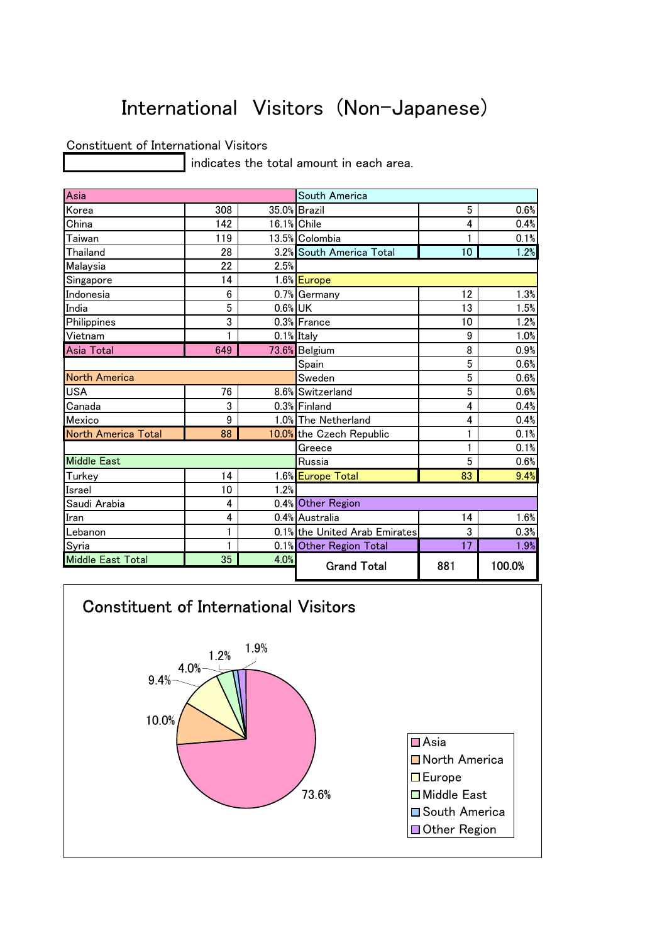# International Visitors (Non-Japanese)

#### Constituent of International Visitors

indicates the total amount in each area.

| Asia                |     |             | South America                 |     |        |
|---------------------|-----|-------------|-------------------------------|-----|--------|
| Korea               | 308 |             | 35.0% Brazil                  | 5   | 0.6%   |
| China               | 142 | 16.1% Chile |                               | 4   | 0.4%   |
| Taiwan              | 119 |             | 13.5% Colombia                |     | 0.1%   |
| Thailand            | 28  |             | 3.2% South America Total      | 10  | 1.2%   |
| Malaysia            | 22  | 2.5%        |                               |     |        |
| Singapore           | 14  |             | 1.6% Europe                   |     |        |
| Indonesia           | 6   |             | 0.7% Germany                  | 12  | 1.3%   |
| India               | 5   | 0.6% UK     |                               | 13  | 1.5%   |
| Philippines         | 3   |             | 0.3% France                   | 10  | 1.2%   |
| Vietnam             | 1   |             | 0.1% Italy                    | 9   | 1.0%   |
| <b>Asia Total</b>   | 649 |             | 73.6% Belgium                 | 8   | 0.9%   |
|                     |     |             | Spain                         | 5   | 0.6%   |
| North America       |     |             | Sweden                        | 5   | 0.6%   |
| <b>USA</b>          | 76  |             | 8.6% Switzerland              | 5   | 0.6%   |
| Canada              | 3   |             | 0.3% Finland                  | 4   | 0.4%   |
| Mexico              | 9   |             | 1.0% The Netherland           | 4   | 0.4%   |
| North America Total | 88  |             | 10.0% the Czech Republic      | 1   | 0.1%   |
|                     |     |             | Greece                        | 1   | 0.1%   |
| <b>Middle East</b>  |     |             | Russia                        | 5   | 0.6%   |
| Turkey              | 14  |             | 1.6% Europe Total             | 83  | 9.4%   |
| Israel              | 10  | 1.2%        |                               |     |        |
| Saudi Arabia        | 4   |             | 0.4% Other Region             |     |        |
| Iran                | 4   |             | 0.4% Australia                | 14  | 1.6%   |
| Lebanon             | 1   |             | 0.1% the United Arab Emirates | 3   | 0.3%   |
| Syria               | 1   |             | 0.1% Other Region Total       | 17  | 1.9%   |
| Middle East Total   | 35  | 4.0%        | <b>Grand Total</b>            | 881 | 100.0% |

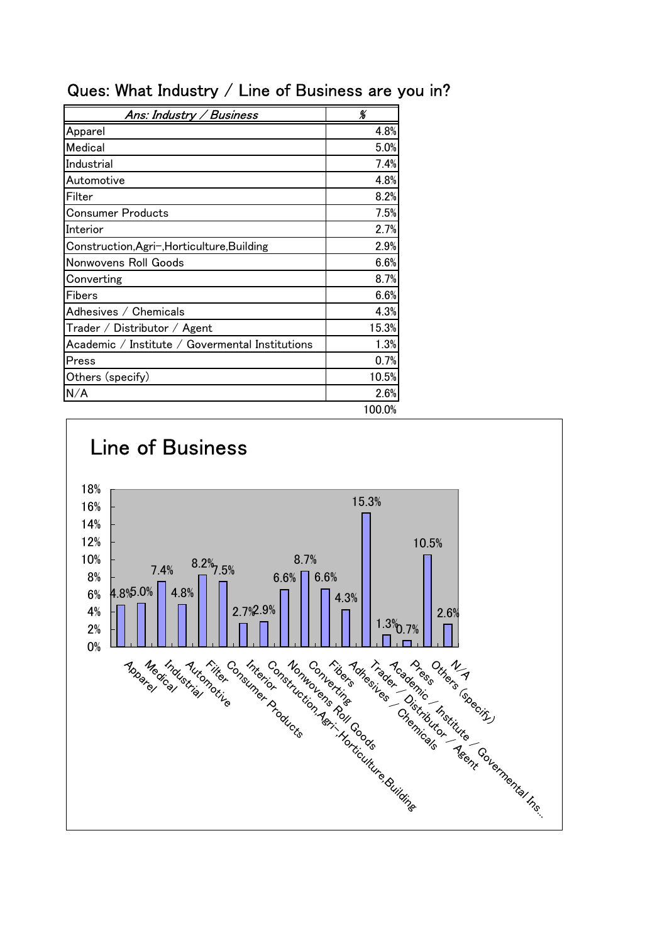| Ans: Industry / Business                        | %     |
|-------------------------------------------------|-------|
| Apparel                                         | 4.8%  |
| Medical                                         | 5.0%  |
| Industrial                                      | 7.4%  |
| Automotive                                      | 4.8%  |
| Filter                                          | 8.2%  |
| Consumer Products                               | 7.5%  |
| Interior                                        | 2.7%  |
| Construction, Agri-, Horticulture, Building     | 2.9%  |
| Nonwovens Roll Goods                            | 6.6%  |
| Converting                                      | 8.7%  |
| Fibers                                          | 6.6%  |
| Adhesives / Chemicals                           | 4.3%  |
| $\mathsf{T}$ rader / Distributor / Agent        | 15.3% |
| Academic / Institute / Govermental Institutions | 1.3%  |
| Press                                           | 0.7%  |
| Others (specify)                                | 10.5% |
| N/A                                             | 2.6%  |

### Ques: What Industry / Line of Business are you in?

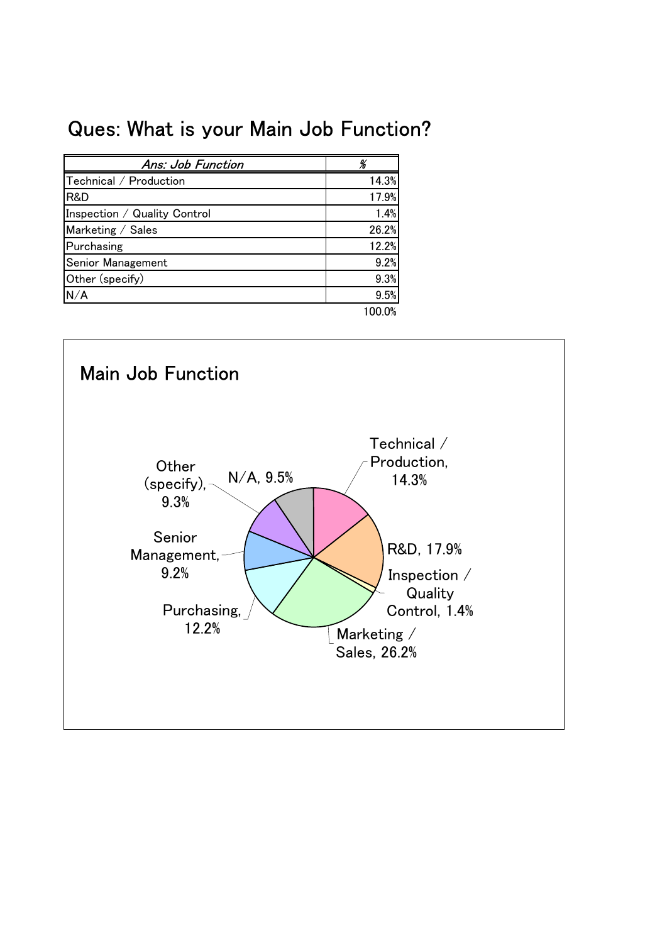## Ques: What is your Main Job Function?

| Ans: Job Function            |       |
|------------------------------|-------|
| Technical / Production       | 14.3% |
| R&D                          | 17.9% |
| Inspection / Quality Control | 1.4%  |
| Marketing / Sales            | 26.2% |
| Purchasing                   | 12.2% |
| Senior Management            | 9.2%  |
| Other (specify)              | 9.3%  |
| N/A                          | 9.5%  |
|                              |       |